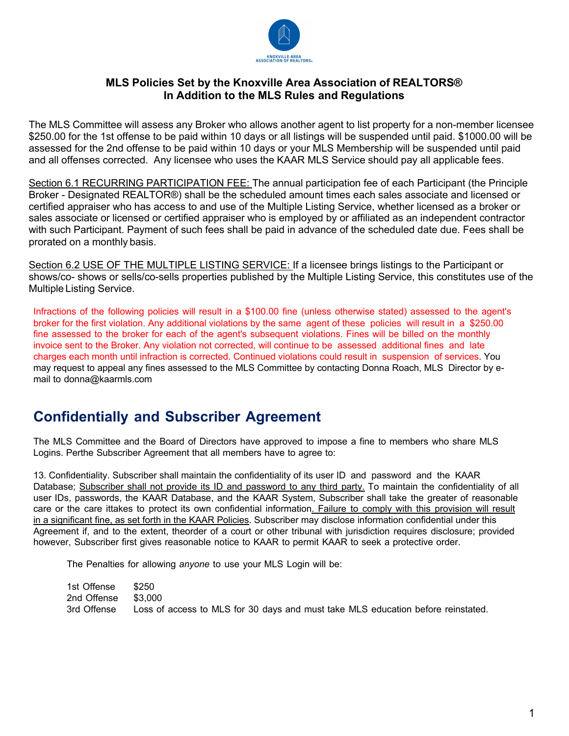

### **MLS Policies Set by the Knoxville Area Association of REALTORS® In Addition to the MLS Rules and Regulations**

The MLS Committee will assess any Broker who allows another agent to list property for a non-member licensee \$250.00 for the 1st offense to be paid within 10 days or all listings will be suspended until paid. \$1000.00 will be assessed for the 2nd offense to be paid within 10 days or your MLS Membership will be suspended until paid and all offenses corrected. Any licensee who uses the KAAR MLS Service should pay all applicable fees.

Section 6.1 RECURRING PARTICIPATION FEE: The annual participation fee of each Participant (the Principle Broker - Designated REALTOR®) shall be the scheduled amount times each sales associate and licensed or certified appraiser who has access to and use of the Multiple Listing Service, whether licensed as a broker or sales associate or licensed or certified appraiser who is employed by or affiliated as an independent contractor with such Participant. Payment of such fees shall be paid in advance of the scheduled date due. Fees shall be prorated on a monthly basis.

Section 6.2 USE OF THE MULTIPLE LISTING SERVICE: If a licensee brings listings to the Participant or shows/co- shows or sells/co-sells properties published by the Multiple Listing Service, this constitutes use of the Multiple Listing Service.

Infractions of the following policies will result in a \$100.00 fine (unless otherwise stated) assessed to the agent's broker for the first violation. Any additional violations by the same agent of these policies will result in a \$250.00 fine assessed to the broker for each of the agent's subsequent violations. Fines will be billed on the monthly invoice sent to the Broker. Any violation not corrected, will continue to be assessed additional fines and late charges each month until infraction is corrected. Continued violations could result in suspension of services. You may request to appeal any fines assessed to the MLS Committee by contacting Donna Roach, MLS Director by email to donna@kaarmls.com

### **Confidentially and Subscriber Agreement**

The MLS Committee and the Board of Directors have approved to impose a fine to members who share MLS Logins. Perthe Subscriber Agreement that all members have to agree to:

13. Confidentiality. Subscriber shall maintain the confidentiality of its user ID and password and the KAAR Database; Subscriber shall not provide its ID and password to any third party. To maintain the confidentiality of all user IDs, passwords, the KAAR Database, and the KAAR System, Subscriber shall take the greater of reasonable care or the care ittakes to protect its own confidential information. Failure to comply with this provision will result in a significant fine, as set forth in the KAAR Policies. Subscriber may disclose information confidential under this Agreement if, and to the extent, theorder of a court or other tribunal with jurisdiction requires disclosure; provided however, Subscriber first gives reasonable notice to KAAR to permit KAAR to seek a protective order.

The Penalties for allowing *anyone* to use your MLS Login will be:

| 1st Offense         | \$250                                                                            |
|---------------------|----------------------------------------------------------------------------------|
| 2nd Offense \$3,000 |                                                                                  |
| 3rd Offense         | Loss of access to MLS for 30 days and must take MLS education before reinstated. |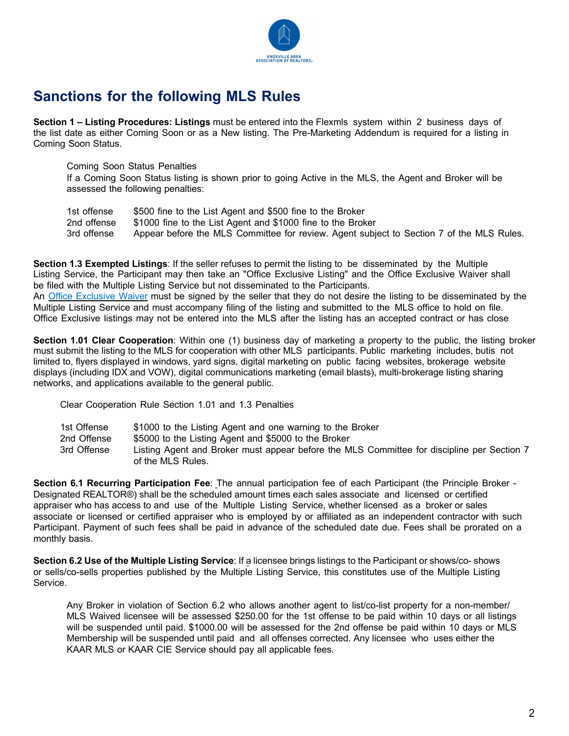

# **Sanctions for the following MLS Rules**

**Section 1 – Listing Procedures: Listings** must be entered into the Flexmls system within 2 business days of the list date as either Coming Soon or as a New listing. The Pre-Marketing Addendum is required for a listing in Coming Soon Status.

Coming Soon Status Penalties

If a Coming Soon Status listing is shown prior to going Active in the MLS, the Agent and Broker will be assessed the following penalties:

1st offense \$500 fine to the List Agent and \$500 fine to the Broker 2nd offense \$1000 fine to the List Agent and \$1000 fine to the Broker 3rd offense Appear before the MLS Committee for review. Agent subject to Section 7 of the MLS Rules.

**Section 1.3 Exempted Listings**: If the seller refuses to permit the listing to be disseminated by the Multiple Listing Service, the Participant may then take an "Office Exclusive Listing" and the Office Exclusive Waiver shall be filed with the Multiple Listing Service but not disseminated to the Participants.

An Office Exclusive Waiver must be signed by the seller that they do not desire the listing to be disseminated by the Multiple Listing Service and must accompany filing of the listing and submitted to the MLS office to hold on file. Office Exclusive listings may not be entered into the MLS after the listing has an accepted contract or has close

**Section 1.01 Clear Cooperation**: Within one (1) business day of marketing a property to the public, the listing broker must submit the listing to the MLS for cooperation with other MLS participants. Public marketing includes, butis not limited to, flyers displayed in windows, yard signs, digital marketing on public facing websites, brokerage website displays (including IDX and VOW), digital communications marketing (email blasts), multi-brokerage listing sharing networks, and applications available to the general public.

Clear Cooperation Rule Section 1.01 and 1.3 Penalties

| 1st Offense | \$1000 to the Listing Agent and one warning to the Broker                                                       |
|-------------|-----------------------------------------------------------------------------------------------------------------|
| 2nd Offense | \$5000 to the Listing Agent and \$5000 to the Broker                                                            |
| 3rd Offense | Listing Agent and Broker must appear before the MLS Committee for discipline per Section 7<br>of the MLS Rules. |

**Section 6.1 Recurring Participation Fee**: The annual participation fee of each Participant (the Principle Broker - Designated REALTOR®) shall be the scheduled amount times each sales associate and licensed or certified appraiser who has access to and use of the Multiple Listing Service, whether licensed as a broker or sales associate or licensed or certified appraiser who is employed by or affiliated as an independent contractor with such Participant. Payment of such fees shall be paid in advance of the scheduled date due. Fees shall be prorated on a monthly basis.

**Section 6.2 Use of the Multiple Listing Service**: If a licensee brings listings to the Participant or shows/co- shows or sells/co-sells properties published by the Multiple Listing Service, this constitutes use of the Multiple Listing Service.

Any Broker in violation of Section 6.2 who allows another agent to list/co-list property for a non-member/ MLS Waived licensee will be assessed \$250.00 for the 1st offense to be paid within 10 days or all listings will be suspended until paid. \$1000.00 will be assessed for the 2nd offense be paid within 10 days or MLS Membership will be suspended until paid and all offenses corrected. Any licensee who uses either the KAAR MLS or KAAR CIE Service should pay all applicable fees.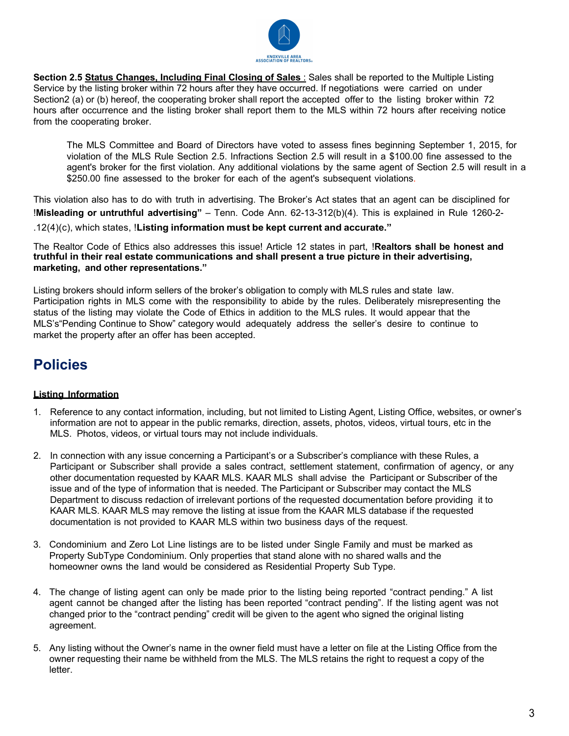

**Section 2.5 Status Changes, Including Final Closing of Sales** : Sales shall be reported to the Multiple Listing Service by the listing broker within 72 hours after they have occurred. If negotiations were carried on under Section2 (a) or (b) hereof, the cooperating broker shall report the accepted offer to the listing broker within 72 hours after occurrence and the listing broker shall report them to the MLS within 72 hours after receiving notice from the cooperating broker.

The MLS Committee and Board of Directors have voted to assess fines beginning September 1, 2015, for violation of the MLS Rule Section 2.5. Infractions Section 2.5 will result in a \$100.00 fine assessed to the agent's broker for the first violation. Any additional violations by the same agent of Section 2.5 will result in a \$250.00 fine assessed to the broker for each of the agent's subsequent violations.

This violation also has to do with truth in advertising. The Broker's Act states that an agent can be disciplined for !**Misleading or untruthful advertising"** – Tenn. Code Ann. 62-13-312(b)(4). This is explained in Rule 1260-2- .12(4)(c), which states, !**Listing information must be kept current and accurate."**

The Realtor Code of Ethics also addresses this issue! Article 12 states in part, !**Realtors shall be honest and truthful in their real estate communications and shall present a true picture in their advertising, marketing, and other representations."**

Listing brokers should inform sellers of the broker's obligation to comply with MLS rules and state law. Participation rights in MLS come with the responsibility to abide by the rules. Deliberately misrepresenting the status of the listing may violate the Code of Ethics in addition to the MLS rules. It would appear that the MLS's"Pending Continue to Show" category would adequately address the seller's desire to continue to market the property after an offer has been accepted.

## **Policies**

#### **Listing Information**

- 1. Reference to any contact information, including, but not limited to Listing Agent, Listing Office, websites, or owner's information are not to appear in the public remarks, direction, assets, photos, videos, virtual tours, etc in the MLS. Photos, videos, or virtual tours may not include individuals.
- 2. In connection with any issue concerning a Participant's or a Subscriber's compliance with these Rules, a Participant or Subscriber shall provide a sales contract, settlement statement, confirmation of agency, or any other documentation requested by KAAR MLS. KAAR MLS shall advise the Participant or Subscriber of the issue and of the type of information that is needed. The Participant or Subscriber may contact the MLS Department to discuss redaction of irrelevant portions of the requested documentation before providing it to KAAR MLS. KAAR MLS may remove the listing at issue from the KAAR MLS database if the requested documentation is not provided to KAAR MLS within two business days of the request.
- 3. Condominium and Zero Lot Line listings are to be listed under Single Family and must be marked as Property SubType Condominium. Only properties that stand alone with no shared walls and the homeowner owns the land would be considered as Residential Property Sub Type.
- 4. The change of listing agent can only be made prior to the listing being reported "contract pending." A list agent cannot be changed after the listing has been reported "contract pending". If the listing agent was not changed prior to the "contract pending" credit will be given to the agent who signed the original listing agreement.
- 5. Any listing without the Owner's name in the owner field must have a letter on file at the Listing Office from the owner requesting their name be withheld from the MLS. The MLS retains the right to request a copy of the letter.